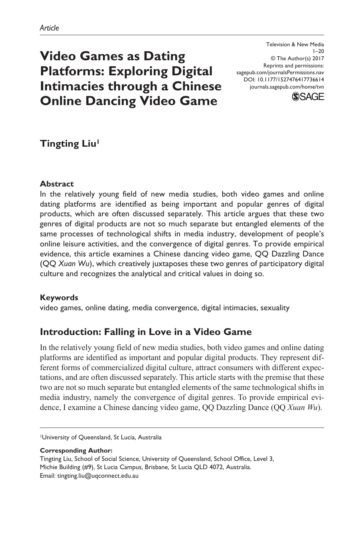# **Video Games as Dating Platforms: Exploring Digital Intimacies through a Chinese Online Dancing Video Game**

DOI: 10.1177/1527476417736614 Television & New Media  $1 - 20$ © The Author(s) 2017 Reprints and permissions: [sagepub.com/journalsPermissions.nav](https://us.sagepub.com/en-us/journals-permissions) [journals.sagepub.com/home/tvn](https://journals.sagepub.com/home/tvn)



# **Tingting Liu<sup>1</sup>**

### **Abstract**

In the relatively young field of new media studies, both video games and online dating platforms are identified as being important and popular genres of digital products, which are often discussed separately. This article argues that these two genres of digital products are not so much separate but entangled elements of the same processes of technological shifts in media industry, development of people's online leisure activities, and the convergence of digital genres. To provide empirical evidence, this article examines a Chinese dancing video game, QQ Dazzling Dance (QQ *Xuan Wu*), which creatively juxtaposes these two genres of participatory digital culture and recognizes the analytical and critical values in doing so.

#### **Keywords**

video games, online dating, media convergence, digital intimacies, sexuality

### **Introduction: Falling in Love in a Video Game**

In the relatively young field of new media studies, both video games and online dating platforms are identified as important and popular digital products. They represent different forms of commercialized digital culture, attract consumers with different expectations, and are often discussed separately. This article starts with the premise that these two are not so much separate but entangled elements of the same technological shifts in media industry, namely the convergence of digital genres. To provide empirical evidence, I examine a Chinese dancing video game, QQ Dazzling Dance (QQ *Xuan Wu*).

**Corresponding Author:**

<sup>1</sup>University of Queensland, St Lucia, Australia

Tingting Liu, School of Social Science, University of Queensland, School Office, Level 3, Michie Building (#9), St Lucia Campus, Brisbane, St Lucia QLD 4072, Australia. Email: [tingting.liu@uqconnect.edu.au](mailto:tingting.liu@uqconnect.edu.au)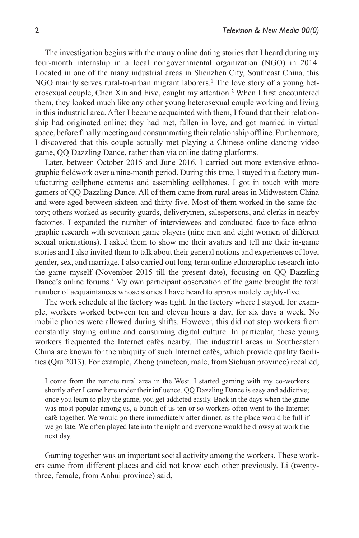The investigation begins with the many online dating stories that I heard during my four-month internship in a local nongovernmental organization (NGO) in 2014. Located in one of the many industrial areas in Shenzhen City, Southeast China, this NGO mainly serves rural-to-urban migrant laborers.<sup>1</sup> The love story of a young heterosexual couple, Chen Xin and Five, caught my attention.2 When I first encountered them, they looked much like any other young heterosexual couple working and living in this industrial area. After I became acquainted with them, I found that their relationship had originated online: they had met, fallen in love, and got married in virtual space, before finally meeting and consummating their relationship offline. Furthermore, I discovered that this couple actually met playing a Chinese online dancing video game, QQ Dazzling Dance, rather than via online dating platforms.

Later, between October 2015 and June 2016, I carried out more extensive ethnographic fieldwork over a nine-month period. During this time, I stayed in a factory manufacturing cellphone cameras and assembling cellphones. I got in touch with more gamers of QQ Dazzling Dance. All of them came from rural areas in Midwestern China and were aged between sixteen and thirty-five. Most of them worked in the same factory; others worked as security guards, deliverymen, salespersons, and clerks in nearby factories. I expanded the number of interviewees and conducted face-to-face ethnographic research with seventeen game players (nine men and eight women of different sexual orientations). I asked them to show me their avatars and tell me their in-game stories and I also invited them to talk about their general notions and experiences of love, gender, sex, and marriage. I also carried out long-term online ethnographic research into the game myself (November 2015 till the present date), focusing on QQ Dazzling Dance's online forums.3 My own participant observation of the game brought the total number of acquaintances whose stories I have heard to approximately eighty-five.

The work schedule at the factory was tight. In the factory where I stayed, for example, workers worked between ten and eleven hours a day, for six days a week. No mobile phones were allowed during shifts. However, this did not stop workers from constantly staying online and consuming digital culture. In particular, these young workers frequented the Internet cafés nearby. The industrial areas in Southeastern China are known for the ubiquity of such Internet cafés, which provide quality facilities (Qiu 2013). For example, Zheng (nineteen, male, from Sichuan province) recalled,

I come from the remote rural area in the West. I started gaming with my co-workers shortly after I came here under their influence. QQ Dazzling Dance is easy and addictive; once you learn to play the game, you get addicted easily. Back in the days when the game was most popular among us, a bunch of us ten or so workers often went to the Internet café together. We would go there immediately after dinner, as the place would be full if we go late. We often played late into the night and everyone would be drowsy at work the next day.

Gaming together was an important social activity among the workers. These workers came from different places and did not know each other previously. Li (twentythree, female, from Anhui province) said,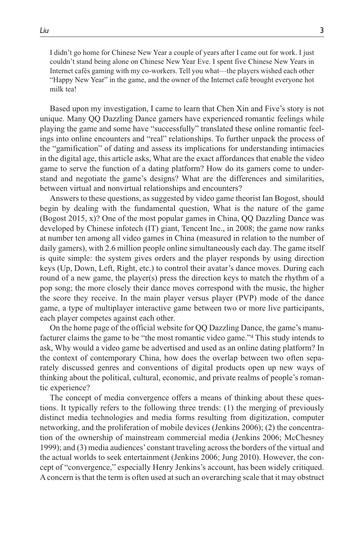I didn't go home for Chinese New Year a couple of years after I came out for work. I just couldn't stand being alone on Chinese New Year Eve. I spent five Chinese New Years in Internet cafés gaming with my co-workers. Tell you what—the players wished each other "Happy New Year" in the game, and the owner of the Internet café brought everyone hot milk tea!

Based upon my investigation, I came to learn that Chen Xin and Five's story is not unique. Many QQ Dazzling Dance gamers have experienced romantic feelings while playing the game and some have "successfully" translated these online romantic feelings into online encounters and "real" relationships. To further unpack the process of the "gamification" of dating and assess its implications for understanding intimacies in the digital age, this article asks, What are the exact affordances that enable the video game to serve the function of a dating platform? How do its gamers come to understand and negotiate the game's designs? What are the differences and similarities, between virtual and nonvirtual relationships and encounters?

Answers to these questions, as suggested by video game theorist Ian Bogost, should begin by dealing with the fundamental question, What is the nature of the game (Bogost 2015, x)? One of the most popular games in China, QQ Dazzling Dance was developed by Chinese infotech (IT) giant, Tencent Inc., in 2008; the game now ranks at number ten among all video games in China (measured in relation to the number of daily gamers), with 2.6 million people online simultaneously each day. The game itself is quite simple: the system gives orders and the player responds by using direction keys (Up, Down, Left, Right, etc.) to control their avatar's dance moves. During each round of a new game, the player(s) press the direction keys to match the rhythm of a pop song; the more closely their dance moves correspond with the music, the higher the score they receive. In the main player versus player (PVP) mode of the dance game, a type of multiplayer interactive game between two or more live participants, each player competes against each other.

On the home page of the official website for QQ Dazzling Dance, the game's manufacturer claims the game to be "the most romantic video game."4 This study intends to ask, Why would a video game be advertised and used as an online dating platform? In the context of contemporary China, how does the overlap between two often separately discussed genres and conventions of digital products open up new ways of thinking about the political, cultural, economic, and private realms of people's romantic experience?

The concept of media convergence offers a means of thinking about these questions. It typically refers to the following three trends: (1) the merging of previously distinct media technologies and media forms resulting from digitization, computer networking, and the proliferation of mobile devices (Jenkins 2006); (2) the concentration of the ownership of mainstream commercial media (Jenkins 2006; McChesney 1999); and (3) media audiences' constant traveling across the borders of the virtual and the actual worlds to seek entertainment (Jenkins 2006; Jung 2010). However, the concept of "convergence," especially Henry Jenkins's account, has been widely critiqued. A concern is that the term is often used at such an overarching scale that it may obstruct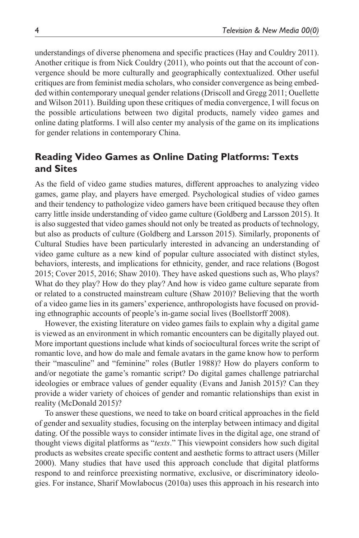understandings of diverse phenomena and specific practices (Hay and Couldry 2011). Another critique is from Nick Couldry (2011), who points out that the account of convergence should be more culturally and geographically contextualized. Other useful critiques are from feminist media scholars, who consider convergence as being embedded within contemporary unequal gender relations (Driscoll and Gregg 2011; Ouellette and Wilson 2011). Building upon these critiques of media convergence, I will focus on the possible articulations between two digital products, namely video games and online dating platforms. I will also center my analysis of the game on its implications for gender relations in contemporary China.

### **Reading Video Games as Online Dating Platforms: Texts and Sites**

As the field of video game studies matures, different approaches to analyzing video games, game play, and players have emerged. Psychological studies of video games and their tendency to pathologize video gamers have been critiqued because they often carry little inside understanding of video game culture (Goldberg and Larsson 2015). It is also suggested that video games should not only be treated as products of technology, but also as products of culture (Goldberg and Larsson 2015). Similarly, proponents of Cultural Studies have been particularly interested in advancing an understanding of video game culture as a new kind of popular culture associated with distinct styles, behaviors, interests, and implications for ethnicity, gender, and race relations (Bogost 2015; Cover 2015, 2016; Shaw 2010). They have asked questions such as, Who plays? What do they play? How do they play? And how is video game culture separate from or related to a constructed mainstream culture (Shaw 2010)? Believing that the worth of a video game lies in its gamers' experience, anthropologists have focused on providing ethnographic accounts of people's in-game social lives (Boellstorff 2008).

However, the existing literature on video games fails to explain why a digital game is viewed as an environment in which romantic encounters can be digitally played out. More important questions include what kinds of sociocultural forces write the script of romantic love, and how do male and female avatars in the game know how to perform their "masculine" and "feminine" roles (Butler 1988)? How do players conform to and/or negotiate the game's romantic script? Do digital games challenge patriarchal ideologies or embrace values of gender equality (Evans and Janish 2015)? Can they provide a wider variety of choices of gender and romantic relationships than exist in reality (McDonald 2015)?

To answer these questions, we need to take on board critical approaches in the field of gender and sexuality studies, focusing on the interplay between intimacy and digital dating. Of the possible ways to consider intimate lives in the digital age, one strand of thought views digital platforms as "*texts*." This viewpoint considers how such digital products as websites create specific content and aesthetic forms to attract users (Miller 2000). Many studies that have used this approach conclude that digital platforms respond to and reinforce preexisting normative, exclusive, or discriminatory ideologies. For instance, Sharif Mowlabocus (2010a) uses this approach in his research into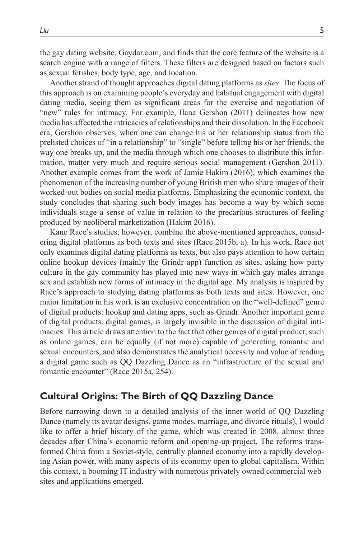the gay dating website, Gaydar.com, and finds that the core feature of the website is a search engine with a range of filters. These filters are designed based on factors such as sexual fetishes, body type, age, and location.

Another strand of thought approaches digital dating platforms as *sites*. The focus of this approach is on examining people's everyday and habitual engagement with digital dating media, seeing them as significant areas for the exercise and negotiation of "new" rules for intimacy. For example, Ilana Gershon (2011) delineates how new media has affected the intricacies of relationships and their dissolution. In the Facebook era, Gershon observes, when one can change his or her relationship status from the prelisted choices of "in a relationship" to "single" before telling his or her friends, the way one breaks up, and the media through which one chooses to distribute this information, matter very much and require serious social management (Gershon 2011). Another example comes from the work of Jamie Hakim (2016), which examines the phenomenon of the increasing number of young British men who share images of their worked-out bodies on social media platforms. Emphasizing the economic context, the study concludes that sharing such body images has become a way by which some individuals stage a sense of value in relation to the precarious structures of feeling produced by neoliberal marketization (Hakim 2016).

Kane Race's studies, however, combine the above-mentioned approaches, considering digital platforms as both texts and sites (Race 2015b, a). In his work, Race not only examines digital dating platforms as texts, but also pays attention to how certain online hookup devices (mainly the Grindr app) function as sites, asking how party culture in the gay community has played into new ways in which gay males arrange sex and establish new forms of intimacy in the digital age. My analysis is inspired by Race's approach to studying dating platforms as both texts and sites. However, one major limitation in his work is an exclusive concentration on the "well-defined" genre of digital products: hookup and dating apps, such as Grindr. Another important genre of digital products, digital games, is largely invisible in the discussion of digital intimacies. This article draws attention to the fact that other genres of digital product, such as online games, can be equally (if not more) capable of generating romantic and sexual encounters, and also demonstrates the analytical necessity and value of reading a digital game such as QQ Dazzling Dance as an "infrastructure of the sexual and romantic encounter" (Race 2015a, 254).

### **Cultural Origins: The Birth of QQ Dazzling Dance**

Before narrowing down to a detailed analysis of the inner world of QQ Dazzling Dance (namely its avatar designs, game modes, marriage, and divorce rituals), I would like to offer a brief history of the game, which was created in 2008, almost three decades after China's economic reform and opening-up project. The reforms transformed China from a Soviet-style, centrally planned economy into a rapidly developing Asian power, with many aspects of its economy open to global capitalism. Within this context, a booming IT industry with numerous privately owned commercial websites and applications emerged.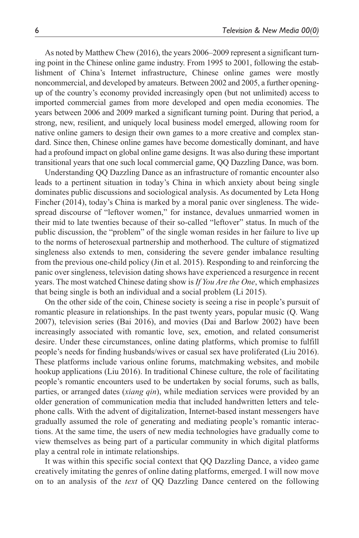As noted by Matthew Chew (2016), the years 2006–2009 represent a significant turning point in the Chinese online game industry. From 1995 to 2001, following the establishment of China's Internet infrastructure, Chinese online games were mostly noncommercial, and developed by amateurs. Between 2002 and 2005, a further openingup of the country's economy provided increasingly open (but not unlimited) access to imported commercial games from more developed and open media economies. The years between 2006 and 2009 marked a significant turning point. During that period, a strong, new, resilient, and uniquely local business model emerged, allowing room for native online gamers to design their own games to a more creative and complex standard. Since then, Chinese online games have become domestically dominant, and have had a profound impact on global online game designs. It was also during these important transitional years that one such local commercial game, QQ Dazzling Dance, was born.

Understanding QQ Dazzling Dance as an infrastructure of romantic encounter also leads to a pertinent situation in today's China in which anxiety about being single dominates public discussions and sociological analysis. As documented by Leta Hong Fincher (2014), today's China is marked by a moral panic over singleness. The widespread discourse of "leftover women," for instance, devalues unmarried women in their mid to late twenties because of their so-called "leftover" status. In much of the public discussion, the "problem" of the single woman resides in her failure to live up to the norms of heterosexual partnership and motherhood. The culture of stigmatized singleness also extends to men, considering the severe gender imbalance resulting from the previous one-child policy (Jin et al. 2015). Responding to and reinforcing the panic over singleness, television dating shows have experienced a resurgence in recent years. The most watched Chinese dating show is *If You Are the One*, which emphasizes that being single is both an individual and a social problem (Li 2015).

On the other side of the coin, Chinese society is seeing a rise in people's pursuit of romantic pleasure in relationships. In the past twenty years, popular music (Q. Wang 2007), television series (Bai 2016), and movies (Dai and Barlow 2002) have been increasingly associated with romantic love, sex, emotion, and related consumerist desire. Under these circumstances, online dating platforms, which promise to fulfill people's needs for finding husbands/wives or casual sex have proliferated (Liu 2016). These platforms include various online forums, matchmaking websites, and mobile hookup applications (Liu 2016). In traditional Chinese culture, the role of facilitating people's romantic encounters used to be undertaken by social forums, such as balls, parties, or arranged dates (*xiang qin*), while mediation services were provided by an older generation of communication media that included handwritten letters and telephone calls. With the advent of digitalization, Internet-based instant messengers have gradually assumed the role of generating and mediating people's romantic interactions. At the same time, the users of new media technologies have gradually come to view themselves as being part of a particular community in which digital platforms play a central role in intimate relationships.

It was within this specific social context that QQ Dazzling Dance, a video game creatively imitating the genres of online dating platforms, emerged. I will now move on to an analysis of the *text* of QQ Dazzling Dance centered on the following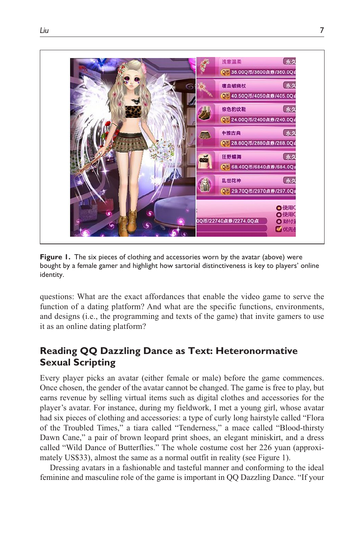

**Figure 1.** The six pieces of clothing and accessories worn by the avatar (above) were bought by a female gamer and highlight how sartorial distinctiveness is key to players' online identity.

questions: What are the exact affordances that enable the video game to serve the function of a dating platform? And what are the specific functions, environments, and designs (i.e., the programming and texts of the game) that invite gamers to use it as an online dating platform?

# **Reading QQ Dazzling Dance as Text: Heteronormative Sexual Scripting**

Every player picks an avatar (either female or male) before the game commences. Once chosen, the gender of the avatar cannot be changed. The game is free to play, but earns revenue by selling virtual items such as digital clothes and accessories for the player's avatar. For instance, during my fieldwork, I met a young girl, whose avatar had six pieces of clothing and accessories: a type of curly long hairstyle called "Flora of the Troubled Times," a tiara called "Tenderness," a mace called "Blood-thirsty Dawn Cane," a pair of brown leopard print shoes, an elegant miniskirt, and a dress called "Wild Dance of Butterflies." The whole costume cost her 226 yuan (approximately US\$33), almost the same as a normal outfit in reality (see Figure 1).

Dressing avatars in a fashionable and tasteful manner and conforming to the ideal feminine and masculine role of the game is important in QQ Dazzling Dance. "If your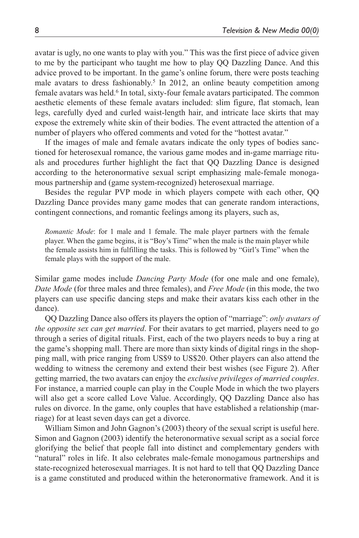avatar is ugly, no one wants to play with you." This was the first piece of advice given to me by the participant who taught me how to play QQ Dazzling Dance. And this advice proved to be important. In the game's online forum, there were posts teaching male avatars to dress fashionably.<sup>5</sup> In 2012, an online beauty competition among female avatars was held.6 In total, sixty-four female avatars participated. The common aesthetic elements of these female avatars included: slim figure, flat stomach, lean legs, carefully dyed and curled waist-length hair, and intricate lace skirts that may expose the extremely white skin of their bodies. The event attracted the attention of a number of players who offered comments and voted for the "hottest avatar."

If the images of male and female avatars indicate the only types of bodies sanctioned for heterosexual romance, the various game modes and in-game marriage rituals and procedures further highlight the fact that QQ Dazzling Dance is designed according to the heteronormative sexual script emphasizing male-female monogamous partnership and (game system-recognized) heterosexual marriage.

Besides the regular PVP mode in which players compete with each other, QQ Dazzling Dance provides many game modes that can generate random interactions, contingent connections, and romantic feelings among its players, such as,

*Romantic Mode*: for 1 male and 1 female. The male player partners with the female player. When the game begins, it is "Boy's Time" when the male is the main player while the female assists him in fulfilling the tasks. This is followed by "Girl's Time" when the female plays with the support of the male.

Similar game modes include *Dancing Party Mode* (for one male and one female), *Date Mode* (for three males and three females), and *Free Mode* (in this mode, the two players can use specific dancing steps and make their avatars kiss each other in the dance).

QQ Dazzling Dance also offers its players the option of "marriage": *only avatars of the opposite sex can get married*. For their avatars to get married, players need to go through a series of digital rituals. First, each of the two players needs to buy a ring at the game's shopping mall. There are more than sixty kinds of digital rings in the shopping mall, with price ranging from US\$9 to US\$20. Other players can also attend the wedding to witness the ceremony and extend their best wishes (see Figure 2). After getting married, the two avatars can enjoy the *exclusive privileges of married couples*. For instance, a married couple can play in the Couple Mode in which the two players will also get a score called Love Value. Accordingly, QQ Dazzling Dance also has rules on divorce. In the game, only couples that have established a relationship (marriage) for at least seven days can get a divorce.

William Simon and John Gagnon's (2003) theory of the sexual script is useful here. Simon and Gagnon (2003) identify the heteronormative sexual script as a social force glorifying the belief that people fall into distinct and complementary genders with "natural" roles in life. It also celebrates male-female monogamous partnerships and state-recognized heterosexual marriages. It is not hard to tell that QQ Dazzling Dance is a game constituted and produced within the heteronormative framework. And it is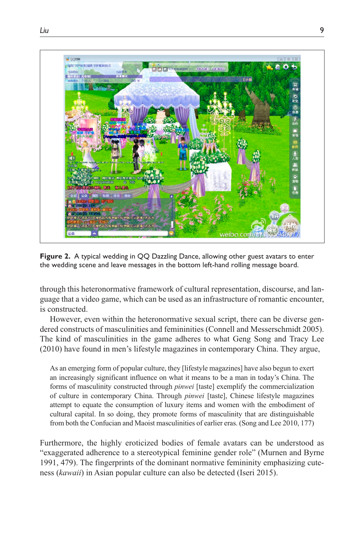

**Figure 2.** A typical wedding in QQ Dazzling Dance, allowing other guest avatars to enter the wedding scene and leave messages in the bottom left-hand rolling message board.

through this heteronormative framework of cultural representation, discourse, and language that a video game, which can be used as an infrastructure of romantic encounter, is constructed.

However, even within the heteronormative sexual script, there can be diverse gendered constructs of masculinities and femininities (Connell and Messerschmidt 2005). The kind of masculinities in the game adheres to what Geng Song and Tracy Lee (2010) have found in men's lifestyle magazines in contemporary China. They argue,

As an emerging form of popular culture, they [lifestyle magazines] have also begun to exert an increasingly significant influence on what it means to be a man in today's China. The forms of masculinity constructed through *pinwei* [taste] exemplify the commercialization of culture in contemporary China. Through *pinwei* [taste], Chinese lifestyle magazines attempt to equate the consumption of luxury items and women with the embodiment of cultural capital. In so doing, they promote forms of masculinity that are distinguishable from both the Confucian and Maoist masculinities of earlier eras. (Song and Lee 2010, 177)

Furthermore, the highly eroticized bodies of female avatars can be understood as "exaggerated adherence to a stereotypical feminine gender role" (Murnen and Byrne 1991, 479). The fingerprints of the dominant normative femininity emphasizing cuteness (*kawaii*) in Asian popular culture can also be detected (Iseri 2015).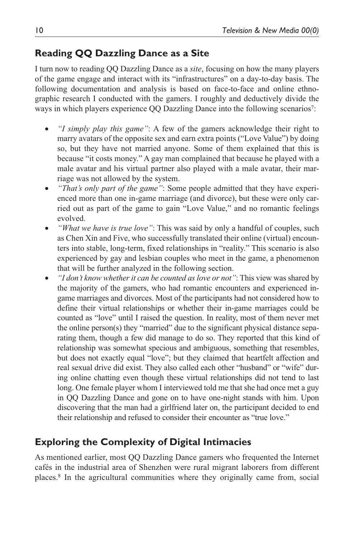### **Reading QQ Dazzling Dance as a Site**

I turn now to reading QQ Dazzling Dance as a *site*, focusing on how the many players of the game engage and interact with its "infrastructures" on a day-to-day basis. The following documentation and analysis is based on face-to-face and online ethnographic research I conducted with the gamers. I roughly and deductively divide the ways in which players experience QQ Dazzling Dance into the following scenarios<sup>7</sup>:

- *"I simply play this game"*: A few of the gamers acknowledge their right to marry avatars of the opposite sex and earn extra points ("Love Value") by doing so, but they have not married anyone. Some of them explained that this is because "it costs money." A gay man complained that because he played with a male avatar and his virtual partner also played with a male avatar, their marriage was not allowed by the system.
- *"That's only part of the game"*: Some people admitted that they have experienced more than one in-game marriage (and divorce), but these were only carried out as part of the game to gain "Love Value," and no romantic feelings evolved.
- *"What we have is true love"*: This was said by only a handful of couples, such as Chen Xin and Five, who successfully translated their online (virtual) encounters into stable, long-term, fixed relationships in "reality." This scenario is also experienced by gay and lesbian couples who meet in the game, a phenomenon that will be further analyzed in the following section.
- *"I don't know whether it can be counted as love or not"*: This view was shared by the majority of the gamers, who had romantic encounters and experienced ingame marriages and divorces. Most of the participants had not considered how to define their virtual relationships or whether their in-game marriages could be counted as "love" until I raised the question. In reality, most of them never met the online person(s) they "married" due to the significant physical distance separating them, though a few did manage to do so. They reported that this kind of relationship was somewhat specious and ambiguous, something that resembles, but does not exactly equal "love"; but they claimed that heartfelt affection and real sexual drive did exist. They also called each other "husband" or "wife" during online chatting even though these virtual relationships did not tend to last long. One female player whom I interviewed told me that she had once met a guy in QQ Dazzling Dance and gone on to have one-night stands with him. Upon discovering that the man had a girlfriend later on, the participant decided to end their relationship and refused to consider their encounter as "true love."

# **Exploring the Complexity of Digital Intimacies**

As mentioned earlier, most QQ Dazzling Dance gamers who frequented the Internet cafés in the industrial area of Shenzhen were rural migrant laborers from different places.8 In the agricultural communities where they originally came from, social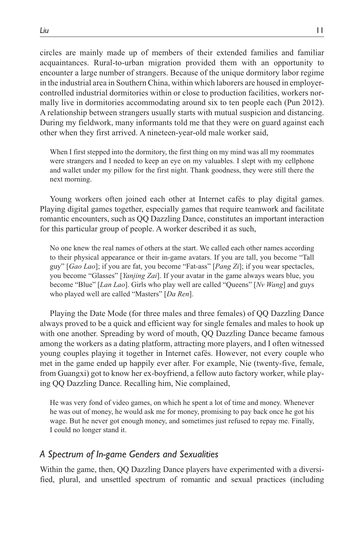circles are mainly made up of members of their extended families and familiar acquaintances. Rural-to-urban migration provided them with an opportunity to encounter a large number of strangers. Because of the unique dormitory labor regime in the industrial area in Southern China, within which laborers are housed in employercontrolled industrial dormitories within or close to production facilities, workers normally live in dormitories accommodating around six to ten people each (Pun 2012). A relationship between strangers usually starts with mutual suspicion and distancing. During my fieldwork, many informants told me that they were on guard against each other when they first arrived. A nineteen-year-old male worker said,

When I first stepped into the dormitory, the first thing on my mind was all my roommates were strangers and I needed to keep an eye on my valuables. I slept with my cellphone and wallet under my pillow for the first night. Thank goodness, they were still there the next morning.

Young workers often joined each other at Internet cafés to play digital games. Playing digital games together, especially games that require teamwork and facilitate romantic encounters, such as QQ Dazzling Dance, constitutes an important interaction for this particular group of people. A worker described it as such,

No one knew the real names of others at the start. We called each other names according to their physical appearance or their in-game avatars. If you are tall, you become "Tall guy" [*Gao Lao*]; if you are fat, you become "Fat-ass" [*Pang Zi*]; if you wear spectacles, you become "Glasses" [*Yanjing Zai*]. If your avatar in the game always wears blue, you become "Blue" [*Lan Lao*]. Girls who play well are called "Queens" [*Nv Wang*] and guys who played well are called "Masters" [*Da Ren*].

Playing the Date Mode (for three males and three females) of QQ Dazzling Dance always proved to be a quick and efficient way for single females and males to hook up with one another. Spreading by word of mouth, QQ Dazzling Dance became famous among the workers as a dating platform, attracting more players, and I often witnessed young couples playing it together in Internet cafés. However, not every couple who met in the game ended up happily ever after. For example, Nie (twenty-five, female, from Guangxi) got to know her ex-boyfriend, a fellow auto factory worker, while playing QQ Dazzling Dance. Recalling him, Nie complained,

He was very fond of video games, on which he spent a lot of time and money. Whenever he was out of money, he would ask me for money, promising to pay back once he got his wage. But he never got enough money, and sometimes just refused to repay me. Finally, I could no longer stand it.

### *A Spectrum of In-game Genders and Sexualities*

Within the game, then, QQ Dazzling Dance players have experimented with a diversified, plural, and unsettled spectrum of romantic and sexual practices (including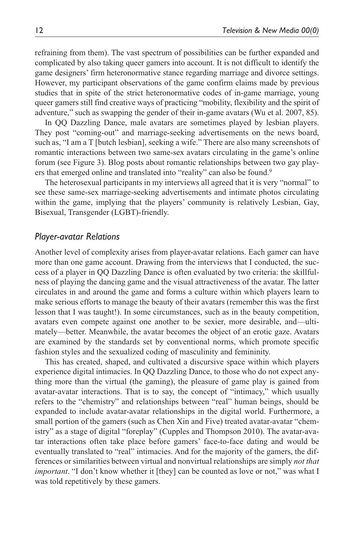refraining from them). The vast spectrum of possibilities can be further expanded and complicated by also taking queer gamers into account. It is not difficult to identify the game designers' firm heteronormative stance regarding marriage and divorce settings. However, my participant observations of the game confirm claims made by previous studies that in spite of the strict heteronormative codes of in-game marriage, young queer gamers still find creative ways of practicing "mobility, flexibility and the spirit of adventure," such as swapping the gender of their in-game avatars (Wu et al. 2007, 85).

In QQ Dazzling Dance, male avatars are sometimes played by lesbian players. They post "coming-out" and marriage-seeking advertisements on the news board, such as, "I am a T [butch lesbian], seeking a wife." There are also many screenshots of romantic interactions between two same-sex avatars circulating in the game's online forum (see Figure 3). Blog posts about romantic relationships between two gay players that emerged online and translated into "reality" can also be found.<sup>9</sup>

The heterosexual participants in my interviews all agreed that it is very "normal" to see these same-sex marriage-seeking advertisements and intimate photos circulating within the game, implying that the players' community is relatively Lesbian, Gay, Bisexual, Transgender (LGBT)-friendly.

#### *Player-avatar Relations*

Another level of complexity arises from player-avatar relations. Each gamer can have more than one game account. Drawing from the interviews that I conducted, the success of a player in QQ Dazzling Dance is often evaluated by two criteria: the skillfulness of playing the dancing game and the visual attractiveness of the avatar. The latter circulates in and around the game and forms a culture within which players learn to make serious efforts to manage the beauty of their avatars (remember this was the first lesson that I was taught!). In some circumstances, such as in the beauty competition, avatars even compete against one another to be sexier, more desirable, and—ultimately—better. Meanwhile, the avatar becomes the object of an erotic gaze. Avatars are examined by the standards set by conventional norms, which promote specific fashion styles and the sexualized coding of masculinity and femininity.

This has created, shaped, and cultivated a discursive space within which players experience digital intimacies. In QQ Dazzling Dance, to those who do not expect anything more than the virtual (the gaming), the pleasure of game play is gained from avatar-avatar interactions. That is to say, the concept of "intimacy," which usually refers to the "chemistry" and relationships between "real" human beings, should be expanded to include avatar-avatar relationships in the digital world. Furthermore, a small portion of the gamers (such as Chen Xin and Five) treated avatar-avatar "chemistry" as a stage of digital "foreplay" (Cupples and Thompson 2010). The avatar-avatar interactions often take place before gamers' face-to-face dating and would be eventually translated to "real" intimacies. And for the majority of the gamers, the differences or similarities between virtual and nonvirtual relationships are simply *not that important*. "I don't know whether it [they] can be counted as love or not," was what I was told repetitively by these gamers.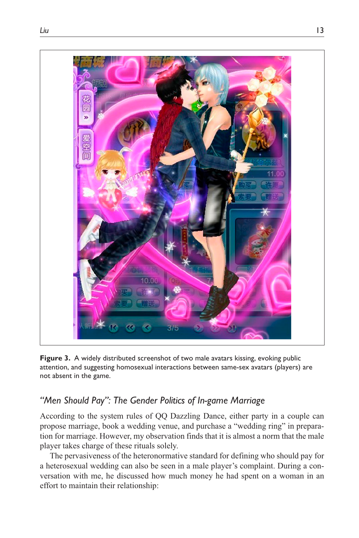

**Figure 3.** A widely distributed screenshot of two male avatars kissing, evoking public attention, and suggesting homosexual interactions between same-sex avatars (players) are not absent in the game.

### *"Men Should Pay": The Gender Politics of In-game Marriage*

According to the system rules of QQ Dazzling Dance, either party in a couple can propose marriage, book a wedding venue, and purchase a "wedding ring" in preparation for marriage. However, my observation finds that it is almost a norm that the male player takes charge of these rituals solely.

The pervasiveness of the heteronormative standard for defining who should pay for a heterosexual wedding can also be seen in a male player's complaint. During a conversation with me, he discussed how much money he had spent on a woman in an effort to maintain their relationship: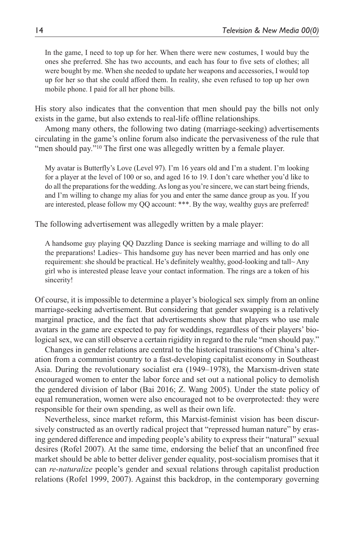In the game, I need to top up for her. When there were new costumes, I would buy the ones she preferred. She has two accounts, and each has four to five sets of clothes; all were bought by me. When she needed to update her weapons and accessories, I would top up for her so that she could afford them. In reality, she even refused to top up her own mobile phone. I paid for all her phone bills.

His story also indicates that the convention that men should pay the bills not only exists in the game, but also extends to real-life offline relationships.

Among many others, the following two dating (marriage-seeking) advertisements circulating in the game's online forum also indicate the pervasiveness of the rule that "men should pay."<sup>10</sup> The first one was allegedly written by a female player.

My avatar is Butterfly's Love (Level 97). I'm 16 years old and I'm a student. I'm looking for a player at the level of 100 or so, and aged 16 to 19. I don't care whether you'd like to do all the preparations for the wedding. As long as you're sincere, we can start being friends, and I'm willing to change my alias for you and enter the same dance group as you. If you are interested, please follow my QQ account: \*\*\*. By the way, wealthy guys are preferred!

The following advertisement was allegedly written by a male player:

A handsome guy playing QQ Dazzling Dance is seeking marriage and willing to do all the preparations! Ladies~ This handsome guy has never been married and has only one requirement: she should be practical. He's definitely wealthy, good-looking and tall~ Any girl who is interested please leave your contact information. The rings are a token of his sincerity!

Of course, it is impossible to determine a player's biological sex simply from an online marriage-seeking advertisement. But considering that gender swapping is a relatively marginal practice, and the fact that advertisements show that players who use male avatars in the game are expected to pay for weddings, regardless of their players' biological sex, we can still observe a certain rigidity in regard to the rule "men should pay."

Changes in gender relations are central to the historical transitions of China's alteration from a communist country to a fast-developing capitalist economy in Southeast Asia. During the revolutionary socialist era (1949–1978), the Marxism-driven state encouraged women to enter the labor force and set out a national policy to demolish the gendered division of labor (Bai 2016; Z. Wang 2005). Under the state policy of equal remuneration, women were also encouraged not to be overprotected: they were responsible for their own spending, as well as their own life.

Nevertheless, since market reform, this Marxist-feminist vision has been discursively constructed as an overtly radical project that "repressed human nature" by erasing gendered difference and impeding people's ability to express their "natural" sexual desires (Rofel 2007). At the same time, endorsing the belief that an unconfined free market should be able to better deliver gender equality, post-socialism promises that it can *re-naturalize* people's gender and sexual relations through capitalist production relations (Rofel 1999, 2007). Against this backdrop, in the contemporary governing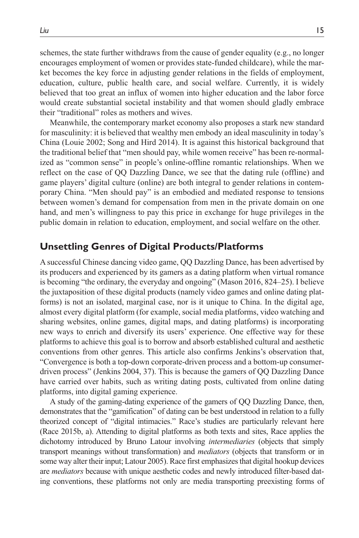schemes, the state further withdraws from the cause of gender equality (e.g., no longer

encourages employment of women or provides state-funded childcare), while the market becomes the key force in adjusting gender relations in the fields of employment, education, culture, public health care, and social welfare. Currently, it is widely believed that too great an influx of women into higher education and the labor force would create substantial societal instability and that women should gladly embrace their "traditional" roles as mothers and wives.

Meanwhile, the contemporary market economy also proposes a stark new standard for masculinity: it is believed that wealthy men embody an ideal masculinity in today's China (Louie 2002; Song and Hird 2014). It is against this historical background that the traditional belief that "men should pay, while women receive" has been re-normalized as "common sense" in people's online-offline romantic relationships. When we reflect on the case of QQ Dazzling Dance, we see that the dating rule (offline) and game players' digital culture (online) are both integral to gender relations in contemporary China. "Men should pay" is an embodied and mediated response to tensions between women's demand for compensation from men in the private domain on one hand, and men's willingness to pay this price in exchange for huge privileges in the public domain in relation to education, employment, and social welfare on the other.

### **Unsettling Genres of Digital Products/Platforms**

A successful Chinese dancing video game, QQ Dazzling Dance, has been advertised by its producers and experienced by its gamers as a dating platform when virtual romance is becoming "the ordinary, the everyday and ongoing" (Mason 2016, 824–25). I believe the juxtaposition of these digital products (namely video games and online dating platforms) is not an isolated, marginal case, nor is it unique to China. In the digital age, almost every digital platform (for example, social media platforms, video watching and sharing websites, online games, digital maps, and dating platforms) is incorporating new ways to enrich and diversify its users' experience. One effective way for these platforms to achieve this goal is to borrow and absorb established cultural and aesthetic conventions from other genres. This article also confirms Jenkins's observation that, "Convergence is both a top-down corporate-driven process and a bottom-up consumerdriven process" (Jenkins 2004, 37). This is because the gamers of QQ Dazzling Dance have carried over habits, such as writing dating posts, cultivated from online dating platforms, into digital gaming experience.

A study of the gaming-dating experience of the gamers of QQ Dazzling Dance, then, demonstrates that the "gamification" of dating can be best understood in relation to a fully theorized concept of "digital intimacies." Race's studies are particularly relevant here (Race 2015b, a). Attending to digital platforms as both texts and sites, Race applies the dichotomy introduced by Bruno Latour involving *intermediaries* (objects that simply transport meanings without transformation) and *mediators* (objects that transform or in some way alter their input; Latour 2005). Race first emphasizes that digital hookup devices are *mediators* because with unique aesthetic codes and newly introduced filter-based dating conventions, these platforms not only are media transporting preexisting forms of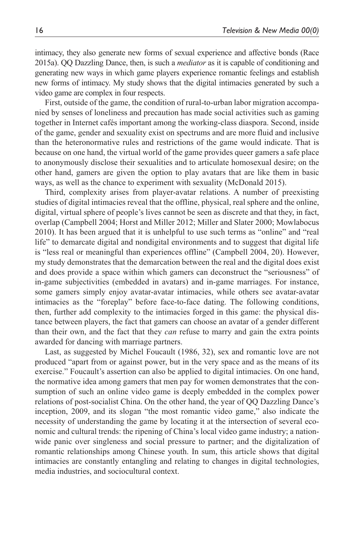intimacy, they also generate new forms of sexual experience and affective bonds (Race 2015a). QQ Dazzling Dance, then, is such a *mediator* as it is capable of conditioning and generating new ways in which game players experience romantic feelings and establish new forms of intimacy. My study shows that the digital intimacies generated by such a video game are complex in four respects.

First, outside of the game, the condition of rural-to-urban labor migration accompanied by senses of loneliness and precaution has made social activities such as gaming together in Internet cafés important among the working-class diaspora. Second, inside of the game, gender and sexuality exist on spectrums and are more fluid and inclusive than the heteronormative rules and restrictions of the game would indicate. That is because on one hand, the virtual world of the game provides queer gamers a safe place to anonymously disclose their sexualities and to articulate homosexual desire; on the other hand, gamers are given the option to play avatars that are like them in basic ways, as well as the chance to experiment with sexuality (McDonald 2015).

Third, complexity arises from player-avatar relations. A number of preexisting studies of digital intimacies reveal that the offline, physical, real sphere and the online, digital, virtual sphere of people's lives cannot be seen as discrete and that they, in fact, overlap (Campbell 2004; Horst and Miller 2012; Miller and Slater 2000; Mowlabocus 2010). It has been argued that it is unhelpful to use such terms as "online" and "real life" to demarcate digital and nondigital environments and to suggest that digital life is "less real or meaningful than experiences offline" (Campbell 2004, 20). However, my study demonstrates that the demarcation between the real and the digital does exist and does provide a space within which gamers can deconstruct the "seriousness" of in-game subjectivities (embedded in avatars) and in-game marriages. For instance, some gamers simply enjoy avatar-avatar intimacies, while others see avatar-avatar intimacies as the "foreplay" before face-to-face dating. The following conditions, then, further add complexity to the intimacies forged in this game: the physical distance between players, the fact that gamers can choose an avatar of a gender different than their own, and the fact that they *can* refuse to marry and gain the extra points awarded for dancing with marriage partners.

Last, as suggested by Michel Foucault (1986, 32), sex and romantic love are not produced "apart from or against power, but in the very space and as the means of its exercise." Foucault's assertion can also be applied to digital intimacies. On one hand, the normative idea among gamers that men pay for women demonstrates that the consumption of such an online video game is deeply embedded in the complex power relations of post-socialist China. On the other hand, the year of QQ Dazzling Dance's inception, 2009, and its slogan "the most romantic video game," also indicate the necessity of understanding the game by locating it at the intersection of several economic and cultural trends: the ripening of China's local video game industry; a nationwide panic over singleness and social pressure to partner; and the digitalization of romantic relationships among Chinese youth. In sum, this article shows that digital intimacies are constantly entangling and relating to changes in digital technologies, media industries, and sociocultural context.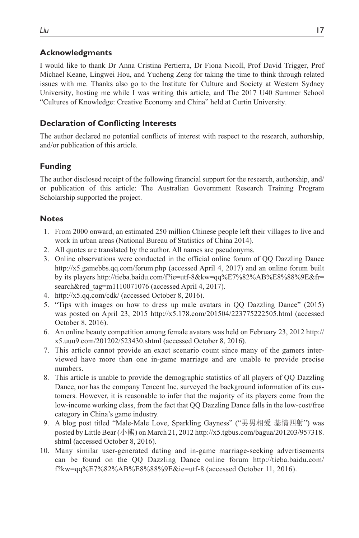#### **Acknowledgments**

I would like to thank Dr Anna Cristina Pertierra, Dr Fiona Nicoll, Prof David Trigger, Prof Michael Keane, Lingwei Hou, and Yucheng Zeng for taking the time to think through related issues with me. Thanks also go to the Institute for Culture and Society at Western Sydney University, hosting me while I was writing this article, and The 2017 U40 Summer School "Cultures of Knowledge: Creative Economy and China" held at Curtin University.

### **Declaration of Conflicting Interests**

The author declared no potential conflicts of interest with respect to the research, authorship, and/or publication of this article.

### **Funding**

The author disclosed receipt of the following financial support for the research, authorship, and/ or publication of this article: The Australian Government Research Training Program Scholarship supported the project.

#### **Notes**

- 1. From 2000 onward, an estimated 250 million Chinese people left their villages to live and work in urban areas (National Bureau of Statistics of China 2014).
- 2. All quotes are translated by the author. All names are pseudonyms.
- 3. Online observations were conducted in the official online forum of QQ Dazzling Dance <http://x5.gamebbs.qq.com/forum.php> (accessed April 4, 2017) and an online forum built by its players [http://tieba.baidu.com/f?ie=utf-8&kw=qq%E7%82%AB%E8%88%9E&fr=](http://tieba.baidu.com/f?ie=utf-8&kw=qq%E7%82%AB%E8%88%9E&fr=search&red_tag=m1110071076) [search&red\\_tag=m1110071076](http://tieba.baidu.com/f?ie=utf-8&kw=qq%E7%82%AB%E8%88%9E&fr=search&red_tag=m1110071076) (accessed April 4, 2017).
- 4. <http://x5.qq.com/cdk/>(accessed October 8, 2016).
- 5. "Tips with images on how to dress up male avatars in QQ Dazzling Dance" (2015) was posted on April 23, 2015 <http://x5.178.com/201504/223775222505.html>(accessed October 8, 2016).
- 6. An online beauty competition among female avatars was held on February 23, 2012 [http://](http://x5.uuu9.com/201202/523430.shtml) [x5.uuu9.com/201202/523430.shtml](http://x5.uuu9.com/201202/523430.shtml) (accessed October 8, 2016).
- 7. This article cannot provide an exact scenario count since many of the gamers interviewed have more than one in-game marriage and are unable to provide precise numbers.
- 8. This article is unable to provide the demographic statistics of all players of QQ Dazzling Dance, nor has the company Tencent Inc. surveyed the background information of its customers. However, it is reasonable to infer that the majority of its players come from the low-income working class, from the fact that QQ Dazzling Dance falls in the low-cost/free category in China's game industry.
- 9. A blog post titled "Male-Male Love, Sparkling Gayness" ("男男相爱 基情四射") was posted by Little Bear (小熊) on March 21, 2012 [http://x5.tgbus.com/bagua/201203/957318.](http://x5.tgbus.com/bagua/201203/957318.shtml) [shtml](http://x5.tgbus.com/bagua/201203/957318.shtml) (accessed October 8, 2016).
- 10. Many similar user-generated dating and in-game marriage-seeking advertisements can be found on the QQ Dazzling Dance online forum [http://tieba.baidu.com/](http://tieba.baidu.com/f?kw=qq%E7%82%AB%E8%88%9E&ie=utf-8) [f?kw=qq%E7%82%AB%E8%88%9E&ie=utf-8](http://tieba.baidu.com/f?kw=qq%E7%82%AB%E8%88%9E&ie=utf-8) (accessed October 11, 2016).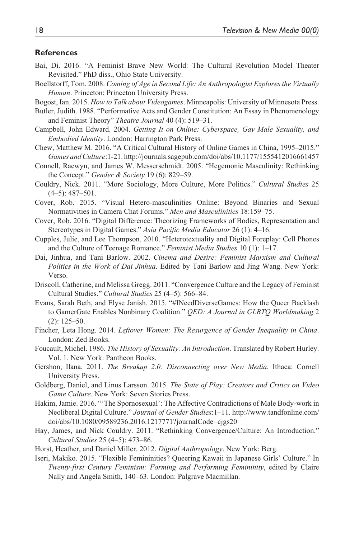#### **References**

- Bai, Di. 2016. "A Feminist Brave New World: The Cultural Revolution Model Theater Revisited." PhD diss., Ohio State University.
- Boellstorff, Tom. 2008. *Coming of Age in Second Life: An Anthropologist Explores the Virtually Human*. Princeton: Princeton University Press.
- Bogost, Ian. 2015. *How to Talk about Videogames*. Minneapolis: University of Minnesota Press.
- Butler, Judith. 1988. "Performative Acts and Gender Constitution: An Essay in Phenomenology and Feminist Theory" *Theatre Journal* 40 (4): 519–31.
- Campbell, John Edward. 2004. *Getting It on Online: Cyberspace, Gay Male Sexuality, and Embodied Identity*. London: Harrington Park Press.
- Chew, Matthew M. 2016. "A Critical Cultural History of Online Games in China, 1995–2015." *Games and Culture*:1-21.<http://journals.sagepub.com/doi/abs/10.1177/1555412016661457>
- Connell, Raewyn, and James W. Messerschmidt. 2005. "Hegemonic Masculinity: Rethinking the Concept." *Gender & Society* 19 (6): 829–59.
- Couldry, Nick. 2011. "More Sociology, More Culture, More Politics." *Cultural Studies* 25 (4–5): 487–501.
- Cover, Rob. 2015. "Visual Hetero-masculinities Online: Beyond Binaries and Sexual Normativities in Camera Chat Forums." *Men and Masculinities* 18:159–75.
- Cover, Rob. 2016. "Digital Difference: Theorizing Frameworks of Bodies, Representation and Stereotypes in Digital Games." *Asia Pacific Media Educator* 26 (1): 4–16.
- Cupples, Julie, and Lee Thompson. 2010. "Heterotextuality and Digital Foreplay: Cell Phones and the Culture of Teenage Romance." *Feminist Media Studies* 10 (1): 1–17.
- Dai, Jinhua, and Tani Barlow. 2002. *Cinema and Desire: Feminist Marxism and Cultural Politics in the Work of Dai Jinhua*. Edited by Tani Barlow and Jing Wang. New York: Verso.
- Driscoll, Catherine, and Melissa Gregg. 2011. "Convergence Culture and the Legacy of Feminist Cultural Studies." *Cultural Studies* 25 (4–5): 566–84.
- Evans, Sarah Beth, and Elyse Janish. 2015. "#INeedDiverseGames: How the Queer Backlash to GamerGate Enables Nonbinary Coalition." *QED: A Journal in GLBTQ Worldmaking* 2 (2): 125–50.
- Fincher, Leta Hong. 2014. *Leftover Women: The Resurgence of Gender Inequality in China*. London: Zed Books.
- Foucault, Michel. 1986. *The History of Sexuality: An Introduction*. Translated by Robert Hurley. Vol. 1. New York: Pantheon Books.
- Gershon, Ilana. 2011. *The Breakup 2.0: Disconnecting over New Media*. Ithaca: Cornell University Press.
- Goldberg, Daniel, and Linus Larsson. 2015. *The State of Play: Creators and Critics on Video Game Culture*. New York: Seven Stories Press.
- Hakim, Jamie. 2016. "'The Spornosexual': The Affective Contradictions of Male Body-work in Neoliberal Digital Culture." *Journal of Gender Studies*:1–11. [http://www.tandfonline.com/](http://www.tandfonline.com/doi/abs/10.1080/09589236.2016.1217771?journalCode=cjgs20) [doi/abs/10.1080/09589236.2016.1217771?journalCode=cjgs20](http://www.tandfonline.com/doi/abs/10.1080/09589236.2016.1217771?journalCode=cjgs20)
- Hay, James, and Nick Couldry. 2011. "Rethinking Convergence/Culture: An Introduction." *Cultural Studies* 25 (4–5): 473–86.
- Horst, Heather, and Daniel Miller. 2012. *Digital Anthropology*. New York: Berg.
- Iseri, Makiko. 2015. "Flexible Femininities? Queering Kawaii in Japanese Girls' Culture." In *Twenty-first Century Feminism: Forming and Performing Femininity*, edited by Claire Nally and Angela Smith, 140–63. London: Palgrave Macmillan.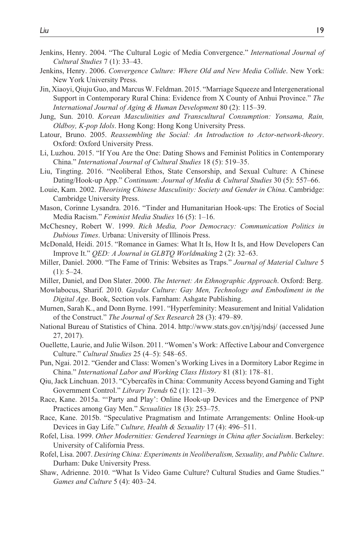- Jenkins, Henry. 2004. "The Cultural Logic of Media Convergence." *International Journal of Cultural Studies* 7 (1): 33–43.
- Jenkins, Henry. 2006. *Convergence Culture: Where Old and New Media Collide*. New York: New York University Press.
- Jin, Xiaoyi, Qiuju Guo, and Marcus W. Feldman. 2015. "Marriage Squeeze and Intergenerational Support in Contemporary Rural China: Evidence from X County of Anhui Province." *The International Journal of Aging & Human Development* 80 (2): 115–39.
- Jung, Sun. 2010. *Korean Masculinities and Transcultural Consumption: Yonsama, Rain, Oldboy, K-pop Idols*. Hong Kong: Hong Kong University Press.
- Latour, Bruno. 2005. *Reassembling the Social: An Introduction to Actor-network-theory*. Oxford: Oxford University Press.
- Li, Luzhou. 2015. "If You Are the One: Dating Shows and Feminist Politics in Contemporary China." *International Journal of Cultural Studies* 18 (5): 519–35.
- Liu, Tingting. 2016. "Neoliberal Ethos, State Censorship, and Sexual Culture: A Chinese Dating/Hook-up App." *Continuum: Journal of Media & Cultural Studies* 30 (5): 557–66.
- Louie, Kam. 2002. *Theorising Chinese Masculinity: Society and Gender in China*. Cambridge: Cambridge University Press.
- Mason, Corinne Lysandra. 2016. "Tinder and Humanitarian Hook-ups: The Erotics of Social Media Racism." *Feminist Media Studies* 16 (5): 1–16.
- McChesney, Robert W. 1999. *Rich Media, Poor Democracy: Communication Politics in Dubious Times*. Urbana: University of Illinois Press.
- McDonald, Heidi. 2015. "Romance in Games: What It Is, How It Is, and How Developers Can Improve It." *QED: A Journal in GLBTQ Worldmaking* 2 (2): 32–63.
- Miller, Daniel. 2000. "The Fame of Trinis: Websites as Traps." *Journal of Material Culture* 5  $(1): 5-24.$
- Miller, Daniel, and Don Slater. 2000. *The Internet: An Ethnographic Approach*. Oxford: Berg.
- Mowlabocus, Sharif. 2010. *Gaydar Culture: Gay Men, Technology and Embodiment in the Digital Age*. Book, Section vols. Farnham: Ashgate Publishing.
- Murnen, Sarah K., and Donn Byrne. 1991. "Hyperfeminity: Measurement and Initial Validation of the Construct." *The Journal of Sex Research* 28 (3): 479–89.
- National Bureau of Statistics of China. 2014. <http://www.stats.gov.cn/tjsj/ndsj/>(accessed June 27, 2017).
- Ouellette, Laurie, and Julie Wilson. 2011. "Women's Work: Affective Labour and Convergence Culture." *Cultural Studies* 25 (4–5): 548–65.
- Pun, Ngai. 2012. "Gender and Class: Women's Working Lives in a Dormitory Labor Regime in China." *International Labor and Working Class History* 81 (81): 178–81.
- Qiu, Jack Linchuan. 2013. "Cybercafés in China: Community Access beyond Gaming and Tight Government Control." *Library Trends* 62 (1): 121–39.
- Race, Kane. 2015a. "'Party and Play': Online Hook-up Devices and the Emergence of PNP Practices among Gay Men." *Sexualities* 18 (3): 253–75.
- Race, Kane. 2015b. "Speculative Pragmatism and Intimate Arrangements: Online Hook-up Devices in Gay Life." *Culture, Health & Sexuality* 17 (4): 496–511.
- Rofel, Lisa. 1999. *Other Modernities: Gendered Yearnings in China after Socialism*. Berkeley: University of California Press.
- Rofel, Lisa. 2007. *Desiring China: Experiments in Neoliberalism, Sexuality, and Public Culture*. Durham: Duke University Press.
- Shaw, Adrienne. 2010. "What Is Video Game Culture? Cultural Studies and Game Studies." *Games and Culture* 5 (4): 403–24.